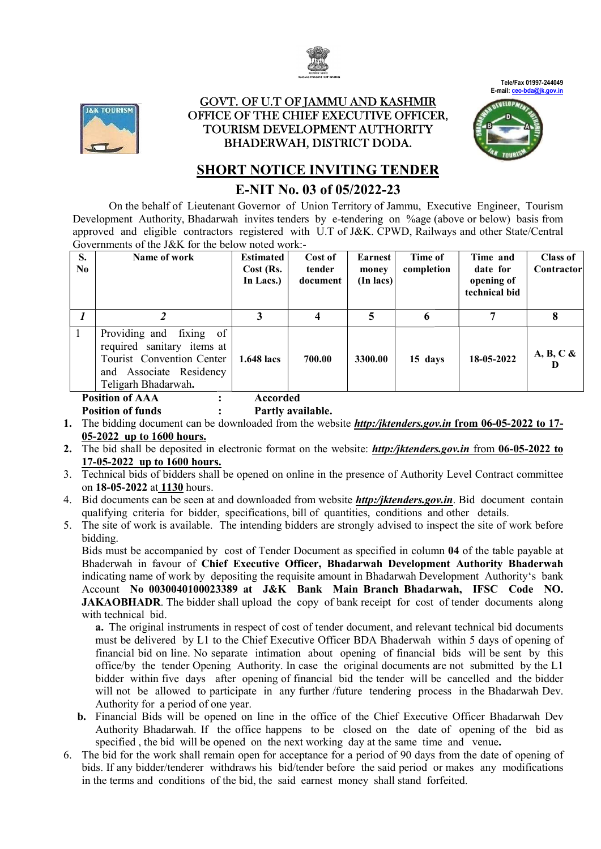



# <u>GOVT. OF U.T OF JAMMU AND KASHMIR</u> OFFICE OF THE CHIEF EXECUTIVE OFFICER, OFFICER, FICE OF THE CHIEF EXECUTIVE OFFICE<br>TOURISM DEVELOPMENT AUTHORITY BHADERWAH, DISTRICT DODA.



# **SHORT NOTICE INVITING TENDER**

# E-NIT No. 03 of 05/2022-23

|                                                                                                                                                                                                                      |                                                                                                                                                                                                         |                         |                         |                |            |                | Tele/Fax 01997-244049<br>E-mail: ceo-bda@jk.gov.in |  |
|----------------------------------------------------------------------------------------------------------------------------------------------------------------------------------------------------------------------|---------------------------------------------------------------------------------------------------------------------------------------------------------------------------------------------------------|-------------------------|-------------------------|----------------|------------|----------------|----------------------------------------------------|--|
| <b>GOVT. OF U.T OF JAMMU AND KASHMIR</b><br><b>&amp;K TOURISM</b><br>OFFICE OF THE CHIEF EXECUTIVE OFFICER,                                                                                                          |                                                                                                                                                                                                         |                         |                         |                |            |                |                                                    |  |
| TOURISM DEVELOPMENT AUTHORITY                                                                                                                                                                                        |                                                                                                                                                                                                         |                         |                         |                |            |                |                                                    |  |
| <b>BHADERWAH, DISTRICT DODA.</b>                                                                                                                                                                                     |                                                                                                                                                                                                         |                         |                         |                |            |                |                                                    |  |
|                                                                                                                                                                                                                      |                                                                                                                                                                                                         |                         |                         |                |            |                |                                                    |  |
| <b>SHORT NOTICE INVITING TENDER</b>                                                                                                                                                                                  |                                                                                                                                                                                                         |                         |                         |                |            |                |                                                    |  |
| E-NIT No. 03 of 05/2022-23                                                                                                                                                                                           |                                                                                                                                                                                                         |                         |                         |                |            |                |                                                    |  |
| On the behalf of Lieutenant Governor of Union Territory of Jammu, Executive Engineer, Tourism                                                                                                                        |                                                                                                                                                                                                         |                         |                         |                |            |                |                                                    |  |
|                                                                                                                                                                                                                      | Development Authority, Bhadarwah invites tenders by e-tendering on %age (above or below) basis from                                                                                                     |                         |                         |                |            |                |                                                    |  |
|                                                                                                                                                                                                                      | approved and eligible contractors registered with U.T of J&K. CPWD, Railways and other State/Central                                                                                                    |                         |                         |                |            |                |                                                    |  |
| S.                                                                                                                                                                                                                   | Governments of the J&K for the below noted work:-<br>Name of work                                                                                                                                       | <b>Estimated</b>        | Cost of                 | <b>Earnest</b> | Time of    | Time and       | <b>Class of</b>                                    |  |
| No                                                                                                                                                                                                                   |                                                                                                                                                                                                         | Cost (Rs.               | tender                  | money          | completion | date for       | Contractor                                         |  |
|                                                                                                                                                                                                                      |                                                                                                                                                                                                         | In Lacs.)               | document                | (In lacs)      |            | opening of     |                                                    |  |
|                                                                                                                                                                                                                      |                                                                                                                                                                                                         |                         |                         |                |            | technical bid  |                                                    |  |
| $\boldsymbol{l}$                                                                                                                                                                                                     | $\overline{2}$                                                                                                                                                                                          | $\overline{\mathbf{3}}$ | $\overline{\mathbf{4}}$ | 5              | 6          | $\overline{7}$ | 8                                                  |  |
| $\mathbf{1}$                                                                                                                                                                                                         | Providing and<br>fixing<br>of                                                                                                                                                                           |                         |                         |                |            |                |                                                    |  |
|                                                                                                                                                                                                                      | required sanitary items at                                                                                                                                                                              |                         |                         |                |            |                | $A, B, C$ &                                        |  |
|                                                                                                                                                                                                                      | Tourist Convention Center                                                                                                                                                                               | 1.648 lacs              | 700.00                  | 3300.00        | 15 days    | 18-05-2022     | D                                                  |  |
|                                                                                                                                                                                                                      | and Associate Residency                                                                                                                                                                                 |                         |                         |                |            |                |                                                    |  |
| Teligarh Bhadarwah.<br><b>Position of AAA</b><br><b>Accorded</b>                                                                                                                                                     |                                                                                                                                                                                                         |                         |                         |                |            |                |                                                    |  |
| <b>Position of funds</b><br>Partly available.                                                                                                                                                                        |                                                                                                                                                                                                         |                         |                         |                |            |                |                                                    |  |
| The bidding document can be downloaded from the website <i>http:/jktenders.gov.in</i> from 06-05-2022 to 17-                                                                                                         |                                                                                                                                                                                                         |                         |                         |                |            |                |                                                    |  |
| 05-2022 up to 1600 hours.                                                                                                                                                                                            |                                                                                                                                                                                                         |                         |                         |                |            |                |                                                    |  |
| The bid shall be deposited in electronic format on the website: <b>http:/jktenders.gov.in</b> from 06-05-2022 to<br>17-05-2022 up to 1600 hours.                                                                     |                                                                                                                                                                                                         |                         |                         |                |            |                |                                                    |  |
| Technical bids of bidders shall be opened on online in the presence of Authority Level Contract committee                                                                                                            |                                                                                                                                                                                                         |                         |                         |                |            |                |                                                    |  |
| on 18-05-2022 at 1130 hours.                                                                                                                                                                                         |                                                                                                                                                                                                         |                         |                         |                |            |                |                                                    |  |
| Bid documents can be seen at and downloaded from website <b>http:/jktenders.gov.in</b> . Bid document contain                                                                                                        |                                                                                                                                                                                                         |                         |                         |                |            |                |                                                    |  |
| qualifying criteria for bidder, specifications, bill of quantities, conditions and other details.                                                                                                                    |                                                                                                                                                                                                         |                         |                         |                |            |                |                                                    |  |
| The site of work is available. The intending bidders are strongly advised to inspect the site of work before<br>bidding.                                                                                             |                                                                                                                                                                                                         |                         |                         |                |            |                |                                                    |  |
| Bids must be accompanied by cost of Tender Document as specified in column 04 of the table payable at                                                                                                                |                                                                                                                                                                                                         |                         |                         |                |            |                |                                                    |  |
| Bhaderwah in favour of Chief Executive Officer, Bhadarwah Development Authority Bhaderwah                                                                                                                            |                                                                                                                                                                                                         |                         |                         |                |            |                |                                                    |  |
| indicating name of work by depositing the requisite amount in Bhadarwah Development Authority's bank                                                                                                                 |                                                                                                                                                                                                         |                         |                         |                |            |                |                                                    |  |
| Account No 0030040100023389 at J&K Bank Main Branch Bhadarwah, IFSC Code NO.                                                                                                                                         |                                                                                                                                                                                                         |                         |                         |                |            |                |                                                    |  |
| JAKAOBHADR. The bidder shall upload the copy of bank receipt for cost of tender documents along<br>with technical bid.                                                                                               |                                                                                                                                                                                                         |                         |                         |                |            |                |                                                    |  |
| a. The original instruments in respect of cost of tender document, and relevant technical bid documents                                                                                                              |                                                                                                                                                                                                         |                         |                         |                |            |                |                                                    |  |
| must be delivered by L1 to the Chief Executive Officer BDA Bhaderwah within 5 days of opening of                                                                                                                     |                                                                                                                                                                                                         |                         |                         |                |            |                |                                                    |  |
| financial bid on line. No separate intimation about opening of financial bids will be sent by this                                                                                                                   |                                                                                                                                                                                                         |                         |                         |                |            |                |                                                    |  |
| office/by the tender Opening Authority. In case the original documents are not submitted by the L1                                                                                                                   |                                                                                                                                                                                                         |                         |                         |                |            |                |                                                    |  |
|                                                                                                                                                                                                                      | bidder within five days after opening of financial bid the tender will be cancelled and the bidder<br>will not be allowed to participate in any further /future tendering process in the Bhadarwah Dev. |                         |                         |                |            |                |                                                    |  |
|                                                                                                                                                                                                                      | Authority for a period of one year.                                                                                                                                                                     |                         |                         |                |            |                |                                                    |  |
| b. Financial Bids will be opened on line in the office of the Chief Executive Officer Bhadarwah Dev                                                                                                                  |                                                                                                                                                                                                         |                         |                         |                |            |                |                                                    |  |
|                                                                                                                                                                                                                      | Authority Bhadarwah. If the office happens to be closed on the date of opening of the bid as                                                                                                            |                         |                         |                |            |                |                                                    |  |
| specified, the bid will be opened on the next working day at the same time and venue.                                                                                                                                |                                                                                                                                                                                                         |                         |                         |                |            |                |                                                    |  |
| The bid for the work shall remain open for acceptance for a period of 90 days from the date of opening of<br>bids. If any bidder/tenderer withdraws his bid/tender before the said period or makes any modifications |                                                                                                                                                                                                         |                         |                         |                |            |                |                                                    |  |
|                                                                                                                                                                                                                      | in the terms and conditions of the bid, the said earnest money shall stand forfeited.                                                                                                                   |                         |                         |                |            |                |                                                    |  |

- 1. The bidding document can be downloaded from the website *http:/jktenders.gov.in* from 06-05-2022 to 17-05-2022 up to 1600 hours.
- 2. The bid shall be deposited in electronic format on the website: **http:/jktenders.gov.in** from 06-05-2022 to 17-05-2022 up to 1600 hours.
- 3. Technical bids of bidders shall be opened on online in the presence of Authority Level Contract committee on 18-05-2022 at 1130 hours. 3. Technical bids of bidders shall be opened on online in the presence of Authority Level Contract committee<br>on 18-05-2022 at 1130 hours.<br>4. Bid documents can be seen at and downloaded from website *http:/jktenders.gov.in*
- qualifying criteria for bidder, specifications, bill of quantities, conditions and other details.
- 5. The site of work is available. The intending bidders are strongly advised to inspect the site of work before bidding.

- b. Financial Bids will be opened on line in the office of the Chief Executive Officer Bhadarwah Dev Authority Bhadarwah. If the office happens to be closed on the date of opening of the bid as specified , the bid will be opened on the next working day at the same time and venue . within five days after opening of financial bid the tender will be cancelled and the bidder<br>of the allowed to participate in any further /future tendering process in the Bhadarwah Dev.<br>rity for a period of one year.<br>ial Bi
- 6. The bid for the work shall remain open for acceptance for a period of 90 days from the date of opening of bids. If any bidder/tenderer withdraws his bid/tender before the said period or makes any modifications in the terms and conditions of the bid, the said earnest money shall stand forfeited.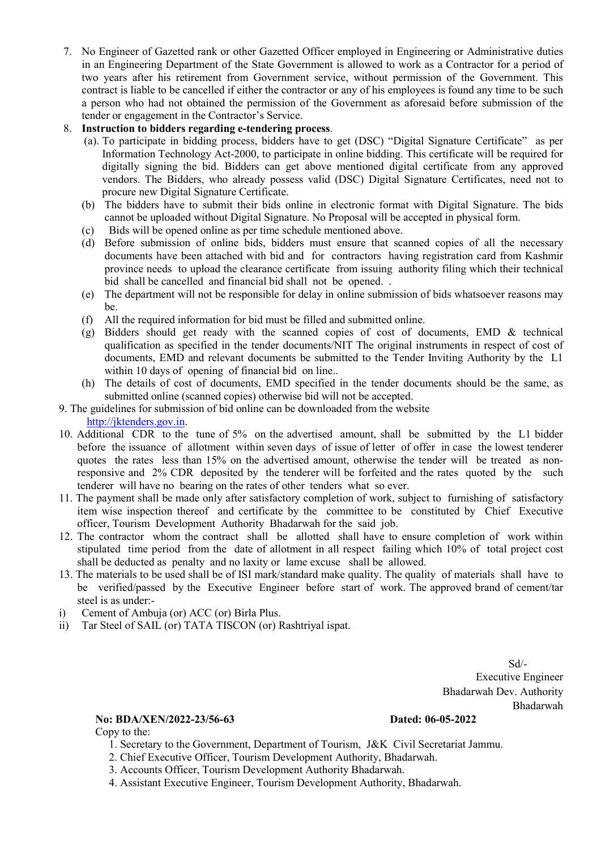7. No Engineer of Gazetted rank or other Gazetted Officer employed in Engineering or Administrative duties in an Engineering Department of the State Government is allowed to work as a Contractor for a period of two years after his retirement from Government service, without permission of the Government. This contract is liable to be cancelled if either the contractor or any of his employees is found any time to be such a person who had not obtained the permission of the Government as aforesaid before submission of the tender or engagement in the Contractor's Service.

#### 8. Instruction to bidders regarding e-tendering process.

- (a). To participate in bidding process, bidders have to get (DSC) "Digital Signature Certificate" as per Information Technology Act-2000, to participate in online bidding. This certificate will be required for digitally signing the bid. Bidders can get above mentioned digital certificate from any approved vendors. The Bidders, who already possess valid (DSC) Digital Signature Certificates, need not to procure new Digital Signature Certificate.
- (b) The bidders have to submit their bids online in electronic format with Digital Signature. The bids cannot be uploaded without Digital Signature. No Proposal will be accepted in physical form.
- (c) Bids will be opened online as per time schedule mentioned above.
- (d) Before submission of online bids, bidders must ensure that scanned copies of all the necessary documents have been attached with bid and for contractors having registration card from Kashmir province needs to upload the clearance certificate from issuing authority filing which their technical bid shall be cancelled and financial bid shall not be opened. .
- (e) The department will not be responsible for delay in online submission of bids whatsoever reasons may be.
- (f) All the required information for bid must be filled and submitted online.
- (g) Bidders should get ready with the scanned copies of cost of documents, EMD & technical qualification as specified in the tender documents/NIT The original instruments in respect of cost of documents, EMD and relevant documents be submitted to the Tender Inviting Authority by the L1 within 10 days of opening of financial bid on line...
- (h) The details of cost of documents, EMD specified in the tender documents should be the same, as submitted online (scanned copies) otherwise bid will not be accepted.

#### 9. The guidelines for submission of bid online can be downloaded from the website

#### http://jktenders.gov.in.

- 10. Additional CDR to the tune of 5% on the advertised amount, shall be submitted by the L1 bidder before the issuance of allotment within seven days of issue of letter of offer in case the lowest tenderer quotes the rates less than 15% on the advertised amount, otherwise the tender will be treated as nonresponsive and 2% CDR deposited by the tenderer will be forfeited and the rates quoted by the such tenderer will have no bearing on the rates of other tenders what so ever.
- 11. The payment shall be made only after satisfactory completion of work, subject to furnishing of satisfactory item wise inspection thereof and certificate by the committee to be constituted by Chief Executive officer, Tourism Development Authority Bhadarwah for the said job.
- 12. The contractor whom the contract shall be allotted shall have to ensure completion of work within stipulated time period from the date of allotment in all respect failing which 10% of total project cost shall be deducted as penalty and no laxity or lame excuse shall be allowed.
- 13. The materials to be used shall be of ISI mark/standard make quality. The quality of materials shall have to be verified/passed by the Executive Engineer before start of work. The approved brand of cement/tar steel is as under:-
- i) Cement of Ambuja (or) ACC (or) Birla Plus.
- ii) Tar Steel of SAIL (or) TATA TISCON (or) Rashtriyal ispat.

 Sd/- Executive Engineer Bhadarwah Dev. Authority Bhadarwah

#### No: BDA/XEN/2022-23/56-63 Dated: 06-05-2022

Copy to the:

- 1. Secretary to the Government, Department of Tourism, J&K Civil Secretariat Jammu.
- 2. Chief Executive Officer, Tourism Development Authority, Bhadarwah.
- 3. Accounts Officer, Tourism Development Authority Bhadarwah.
- 4. Assistant Executive Engineer, Tourism Development Authority, Bhadarwah.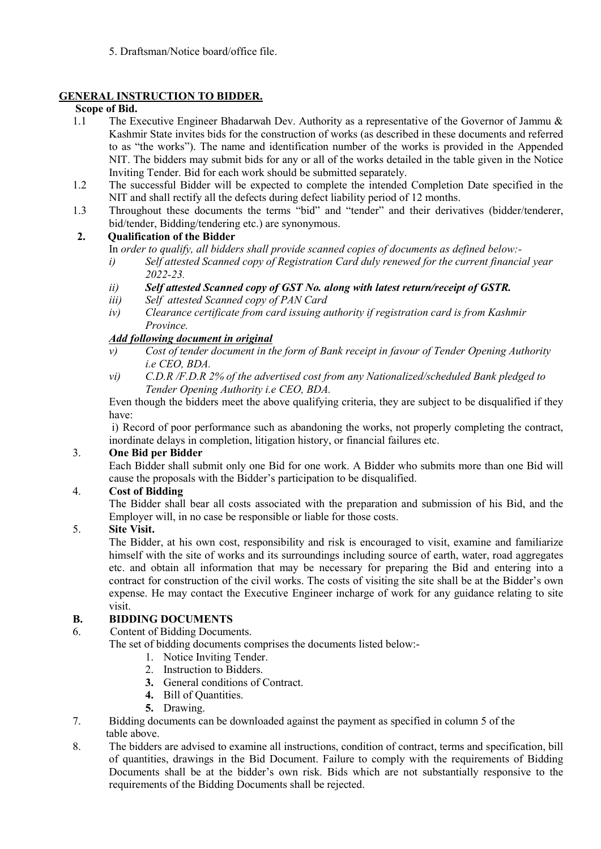5. Draftsman/Notice board/office file.

## GENERAL INSTRUCTION TO BIDDER.

#### Scope of Bid.

- 1.1 The Executive Engineer Bhadarwah Dev. Authority as a representative of the Governor of Jammu & Kashmir State invites bids for the construction of works (as described in these documents and referred to as "the works"). The name and identification number of the works is provided in the Appended NIT. The bidders may submit bids for any or all of the works detailed in the table given in the Notice Inviting Tender. Bid for each work should be submitted separately.
- 1.2 The successful Bidder will be expected to complete the intended Completion Date specified in the NIT and shall rectify all the defects during defect liability period of 12 months.
- 1.3 Throughout these documents the terms "bid" and "tender" and their derivatives (bidder/tenderer, bid/tender, Bidding/tendering etc.) are synonymous.

#### 2. Qualification of the Bidder

- In order to qualify, all bidders shall provide scanned copies of documents as defined below:-
- i) Self attested Scanned copy of Registration Card duly renewed for the current financial year 2022-23.
- ii) Self attested Scanned copy of GST No. along with latest return/receipt of GSTR.
- iii) Self attested Scanned copy of PAN Card
- iv) Clearance certificate from card issuing authority if registration card is from Kashmir Province.

#### Add following document in original

- $v$  Cost of tender document in the form of Bank receipt in favour of Tender Opening Authority i.e CEO, BDA.
- vi) C.D.R /F.D.R 2% of the advertised cost from any Nationalized/scheduled Bank pledged to Tender Opening Authority i.e CEO, BDA.

 Even though the bidders meet the above qualifying criteria, they are subject to be disqualified if they have:

 i) Record of poor performance such as abandoning the works, not properly completing the contract, inordinate delays in completion, litigation history, or financial failures etc.

## 3. One Bid per Bidder

Each Bidder shall submit only one Bid for one work. A Bidder who submits more than one Bid will cause the proposals with the Bidder's participation to be disqualified.

## 4. Cost of Bidding

The Bidder shall bear all costs associated with the preparation and submission of his Bid, and the Employer will, in no case be responsible or liable for those costs.

## 5. Site Visit.

The Bidder, at his own cost, responsibility and risk is encouraged to visit, examine and familiarize himself with the site of works and its surroundings including source of earth, water, road aggregates etc. and obtain all information that may be necessary for preparing the Bid and entering into a contract for construction of the civil works. The costs of visiting the site shall be at the Bidder's own expense. He may contact the Executive Engineer incharge of work for any guidance relating to site visit.

#### B. BIDDING DOCUMENTS

6. Content of Bidding Documents.

The set of bidding documents comprises the documents listed below:-

- 1. Notice Inviting Tender.
- 2. Instruction to Bidders.
- 3. General conditions of Contract.
- 4. Bill of Quantities.
- 5. Drawing.
- 7. Bidding documents can be downloaded against the payment as specified in column 5 of the table above.
- 8. The bidders are advised to examine all instructions, condition of contract, terms and specification, bill of quantities, drawings in the Bid Document. Failure to comply with the requirements of Bidding Documents shall be at the bidder's own risk. Bids which are not substantially responsive to the requirements of the Bidding Documents shall be rejected.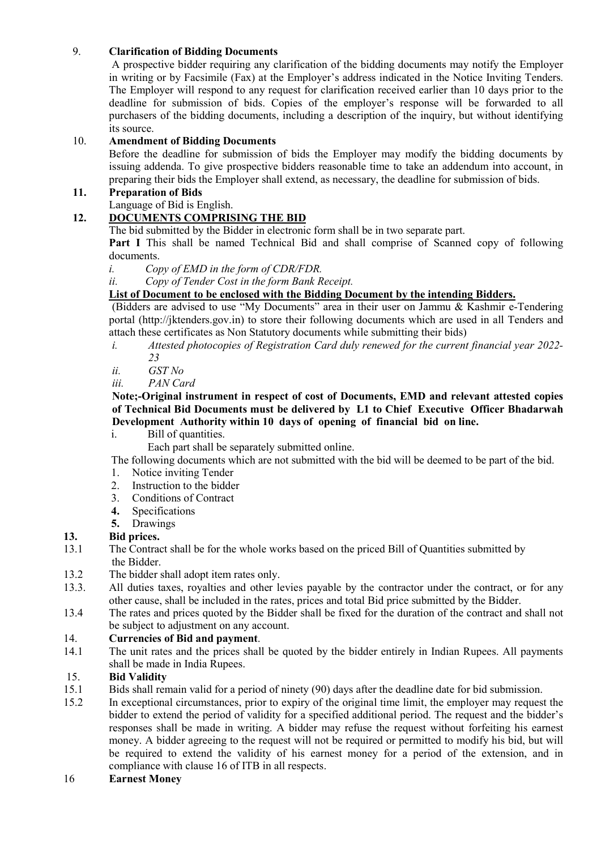#### 9. Clarification of Bidding Documents

 A prospective bidder requiring any clarification of the bidding documents may notify the Employer in writing or by Facsimile (Fax) at the Employer's address indicated in the Notice Inviting Tenders. The Employer will respond to any request for clarification received earlier than 10 days prior to the deadline for submission of bids. Copies of the employer's response will be forwarded to all purchasers of the bidding documents, including a description of the inquiry, but without identifying its source.

#### 10. Amendment of Bidding Documents

Before the deadline for submission of bids the Employer may modify the bidding documents by issuing addenda. To give prospective bidders reasonable time to take an addendum into account, in preparing their bids the Employer shall extend, as necessary, the deadline for submission of bids.

# 11. Preparation of Bids

Language of Bid is English.

#### 12. DOCUMENTS COMPRISING THE BID

The bid submitted by the Bidder in electronic form shall be in two separate part.

Part I This shall be named Technical Bid and shall comprise of Scanned copy of following documents.

i. Copy of EMD in the form of CDR/FDR.

ii. Copy of Tender Cost in the form Bank Receipt.

#### List of Document to be enclosed with the Bidding Document by the intending Bidders.

(Bidders are advised to use "My Documents" area in their user on Jammu & Kashmir e-Tendering portal (http://jktenders.gov.in) to store their following documents which are used in all Tenders and attach these certificates as Non Statutory documents while submitting their bids)

- i. Attested photocopies of Registration Card duly renewed for the current financial year 2022- 23
- ii. GST No
- iii. PAN Card

#### Note;-Original instrument in respect of cost of Documents, EMD and relevant attested copies of Technical Bid Documents must be delivered by L1 to Chief Executive Officer Bhadarwah Development Authority within 10 days of opening of financial bid on line.

i. Bill of quantities.

Each part shall be separately submitted online.

The following documents which are not submitted with the bid will be deemed to be part of the bid.

- 1. Notice inviting Tender
- 2. Instruction to the bidder
- 3. Conditions of Contract
- 4. Specifications
- 5. Drawings

## 13. Bid prices.

- 13.1 The Contract shall be for the whole works based on the priced Bill of Quantities submitted by the Bidder.
- 13.2 The bidder shall adopt item rates only.
- 13.3. All duties taxes, royalties and other levies payable by the contractor under the contract, or for any other cause, shall be included in the rates, prices and total Bid price submitted by the Bidder.
- 13.4 The rates and prices quoted by the Bidder shall be fixed for the duration of the contract and shall not be subject to adjustment on any account.

#### 14. Currencies of Bid and payment.

14.1 The unit rates and the prices shall be quoted by the bidder entirely in Indian Rupees. All payments shall be made in India Rupees.

#### 15. Bid Validity

- 15.1 Bids shall remain valid for a period of ninety (90) days after the deadline date for bid submission.
- 15.2 In exceptional circumstances, prior to expiry of the original time limit, the employer may request the bidder to extend the period of validity for a specified additional period. The request and the bidder's responses shall be made in writing. A bidder may refuse the request without forfeiting his earnest money. A bidder agreeing to the request will not be required or permitted to modify his bid, but will be required to extend the validity of his earnest money for a period of the extension, and in compliance with clause 16 of ITB in all respects.

#### 16 Earnest Money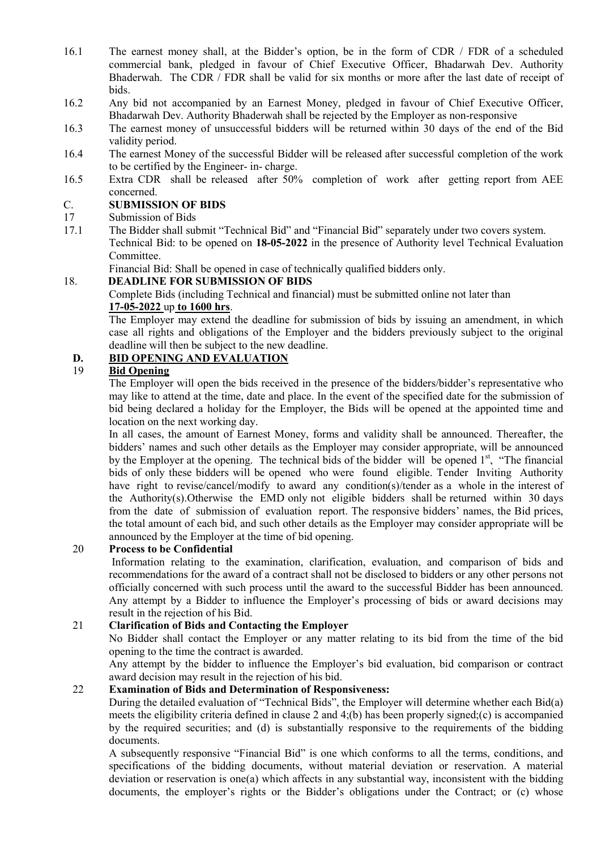- 16.1 The earnest money shall, at the Bidder's option, be in the form of CDR / FDR of a scheduled commercial bank, pledged in favour of Chief Executive Officer, Bhadarwah Dev. Authority Bhaderwah. The CDR / FDR shall be valid for six months or more after the last date of receipt of bids.
- 16.2 Any bid not accompanied by an Earnest Money, pledged in favour of Chief Executive Officer, Bhadarwah Dev. Authority Bhaderwah shall be rejected by the Employer as non-responsive
- 16.3 The earnest money of unsuccessful bidders will be returned within 30 days of the end of the Bid validity period.
- 16.4 The earnest Money of the successful Bidder will be released after successful completion of the work to be certified by the Engineer- in- charge.
- 16.5 Extra CDR shall be released after 50% completion of work after getting report from AEE concerned.

#### C. SUBMISSION OF BIDS

#### 17 Submission of Bids

17.1 The Bidder shall submit "Technical Bid" and "Financial Bid" separately under two covers system. Technical Bid: to be opened on 18-05-2022 in the presence of Authority level Technical Evaluation Committee.

Financial Bid: Shall be opened in case of technically qualified bidders only.

#### 18. DEADLINE FOR SUBMISSION OF BIDS

Complete Bids (including Technical and financial) must be submitted online not later than 17-05-2022 up to 1600 hrs.

The Employer may extend the deadline for submission of bids by issuing an amendment, in which case all rights and obligations of the Employer and the bidders previously subject to the original deadline will then be subject to the new deadline.

# D. BID OPENING AND EVALUATION

#### 19 Bid Opening

 The Employer will open the bids received in the presence of the bidders/bidder's representative who may like to attend at the time, date and place. In the event of the specified date for the submission of bid being declared a holiday for the Employer, the Bids will be opened at the appointed time and location on the next working day.

In all cases, the amount of Earnest Money, forms and validity shall be announced. Thereafter, the bidders' names and such other details as the Employer may consider appropriate, will be announced by the Employer at the opening. The technical bids of the bidder will be opened 1<sup>st</sup>, "The financial bids of only these bidders will be opened who were found eligible. Tender Inviting Authority have right to revise/cancel/modify to award any condition(s)/tender as a whole in the interest of the Authority(s). Otherwise the EMD only not eligible bidders shall be returned within 30 days from the date of submission of evaluation report. The responsive bidders' names, the Bid prices, the total amount of each bid, and such other details as the Employer may consider appropriate will be announced by the Employer at the time of bid opening.

#### 20 Process to be Confidential

 Information relating to the examination, clarification, evaluation, and comparison of bids and recommendations for the award of a contract shall not be disclosed to bidders or any other persons not officially concerned with such process until the award to the successful Bidder has been announced. Any attempt by a Bidder to influence the Employer's processing of bids or award decisions may result in the rejection of his Bid.

#### 21 Clarification of Bids and Contacting the Employer

No Bidder shall contact the Employer or any matter relating to its bid from the time of the bid opening to the time the contract is awarded.

Any attempt by the bidder to influence the Employer's bid evaluation, bid comparison or contract award decision may result in the rejection of his bid.

#### 22 Examination of Bids and Determination of Responsiveness:

 During the detailed evaluation of "Technical Bids", the Employer will determine whether each Bid(a) meets the eligibility criteria defined in clause 2 and 4;(b) has been properly signed;(c) is accompanied by the required securities; and (d) is substantially responsive to the requirements of the bidding documents.

A subsequently responsive "Financial Bid" is one which conforms to all the terms, conditions, and specifications of the bidding documents, without material deviation or reservation. A material deviation or reservation is one(a) which affects in any substantial way, inconsistent with the bidding documents, the employer's rights or the Bidder's obligations under the Contract; or (c) whose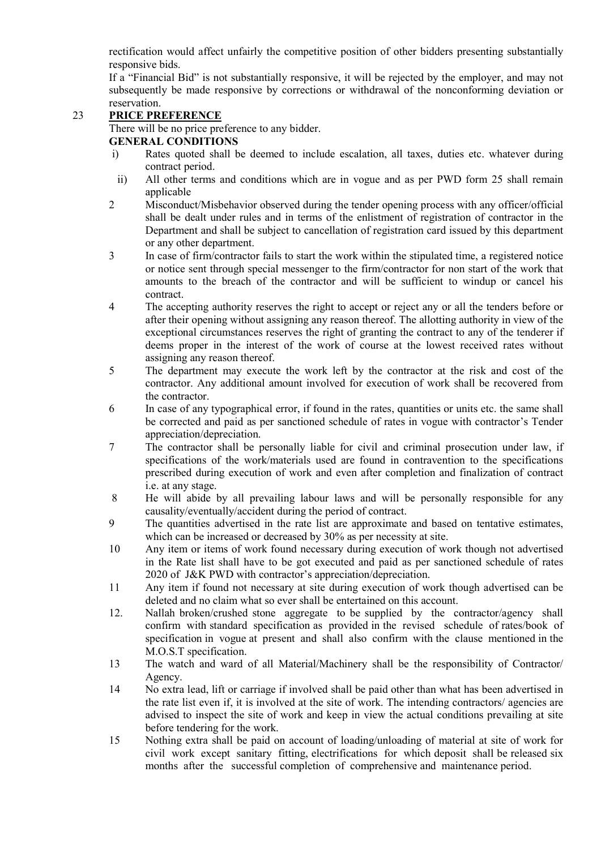rectification would affect unfairly the competitive position of other bidders presenting substantially responsive bids.

If a "Financial Bid" is not substantially responsive, it will be rejected by the employer, and may not subsequently be made responsive by corrections or withdrawal of the nonconforming deviation or reservation.

#### 23 PRICE PREFERENCE

There will be no price preference to any bidder.

#### GENERAL CONDITIONS

- i) Rates quoted shall be deemed to include escalation, all taxes, duties etc. whatever during contract period.
- ii) All other terms and conditions which are in vogue and as per PWD form 25 shall remain applicable
- 2 Misconduct/Misbehavior observed during the tender opening process with any officer/official shall be dealt under rules and in terms of the enlistment of registration of contractor in the Department and shall be subject to cancellation of registration card issued by this department or any other department.
- 3 In case of firm/contractor fails to start the work within the stipulated time, a registered notice or notice sent through special messenger to the firm/contractor for non start of the work that amounts to the breach of the contractor and will be sufficient to windup or cancel his contract.
- 4 The accepting authority reserves the right to accept or reject any or all the tenders before or after their opening without assigning any reason thereof. The allotting authority in view of the exceptional circumstances reserves the right of granting the contract to any of the tenderer if deems proper in the interest of the work of course at the lowest received rates without assigning any reason thereof.
- 5 The department may execute the work left by the contractor at the risk and cost of the contractor. Any additional amount involved for execution of work shall be recovered from the contractor.
- 6 In case of any typographical error, if found in the rates, quantities or units etc. the same shall be corrected and paid as per sanctioned schedule of rates in vogue with contractor's Tender appreciation/depreciation.
- 7 The contractor shall be personally liable for civil and criminal prosecution under law, if specifications of the work/materials used are found in contravention to the specifications prescribed during execution of work and even after completion and finalization of contract i.e. at any stage.
- 8 He will abide by all prevailing labour laws and will be personally responsible for any causality/eventually/accident during the period of contract.
- 9 The quantities advertised in the rate list are approximate and based on tentative estimates, which can be increased or decreased by 30% as per necessity at site.
- 10 Any item or items of work found necessary during execution of work though not advertised in the Rate list shall have to be got executed and paid as per sanctioned schedule of rates 2020 of J&K PWD with contractor's appreciation/depreciation.
- 11 Any item if found not necessary at site during execution of work though advertised can be deleted and no claim what so ever shall be entertained on this account.
- 12. Nallah broken/crushed stone aggregate to be supplied by the contractor/agency shall confirm with standard specification as provided in the revised schedule of rates/book of specification in vogue at present and shall also confirm with the clause mentioned in the M.O.S.T specification.
- 13 The watch and ward of all Material/Machinery shall be the responsibility of Contractor/ Agency.
- 14 No extra lead, lift or carriage if involved shall be paid other than what has been advertised in the rate list even if, it is involved at the site of work. The intending contractors/ agencies are advised to inspect the site of work and keep in view the actual conditions prevailing at site before tendering for the work.
- 15 Nothing extra shall be paid on account of loading/unloading of material at site of work for civil work except sanitary fitting, electrifications for which deposit shall be released six months after the successful completion of comprehensive and maintenance period.